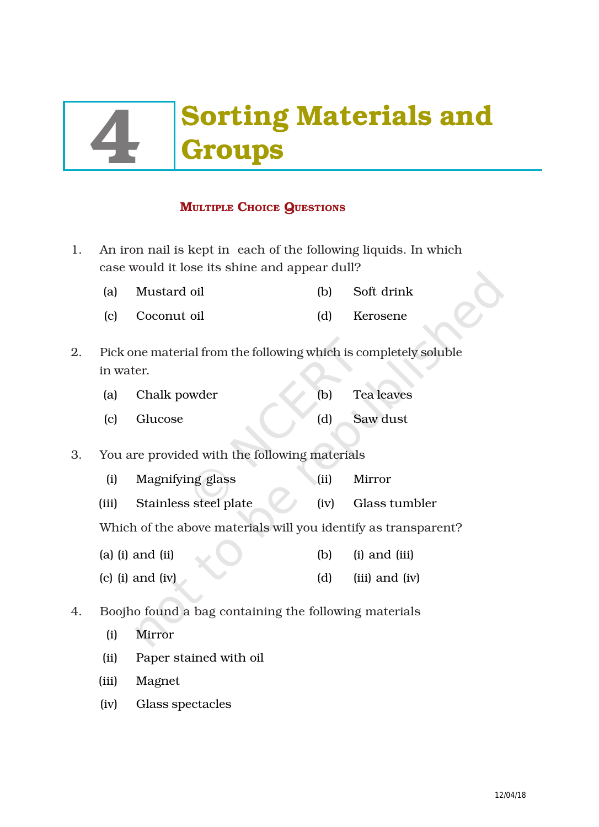# **Sorting Materials and<br>Groups**

# **MULTIPLE CHOICE QUESTIONS**

- 1. An iron nail is kept in each of the following liquids. In which case would it lose its shine and appear dull?
	- (a) Mustard oil (b) Soft drink
	- (c) Coconut oil (d) Kerosene
- 2. Pick one material from the following which is completely soluble in water.

| (a) Chalk powder | (b) | Tea leaves |
|------------------|-----|------------|
| (c) Glucose      |     | Saw dust   |

- 3. You are provided with the following materials
	- (i) Magnifying glass (ii) Mirror
	- (iii) Stainless steel plate (iv) Glass tumbler

Which of the above materials will you identify as transparent?

- (a) (i) and (ii) (b) (i) and (iii)
- (c) (i) and (iv) (d) (iii) and (iv)
- 4. Boojho found a bag containing the following materials
	- (i) Mirror
	- (ii) Paper stained with oil
	- (iii) Magnet
	- (iv) Glass spectacles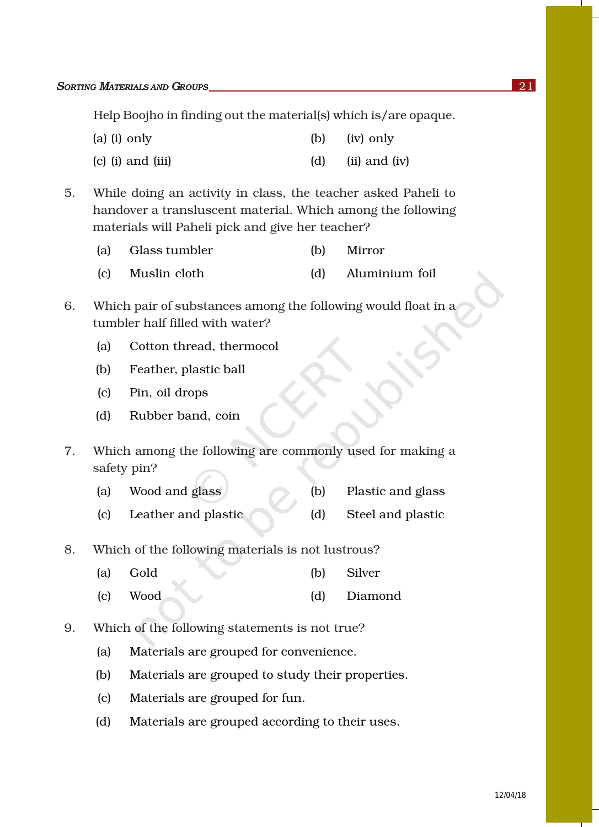Help Boojho in finding out the material(s) which is/are opaque.

| (a) (i) only | (iv) only |
|--------------|-----------|
|--------------|-----------|

- $\alpha$  (c) (i) and (iii)  $\alpha$  (d) (ii) and (iv)
- 5. While doing an activity in class, the teacher asked Paheli to handover a transluscent material. Which among the following materials will Paheli pick and give her teacher?

| (a) Glass tumbler | Mirror             |  |
|-------------------|--------------------|--|
| (c) Muslin cloth  | (d) Aluminium foil |  |

- 
- 6. Which pair of substances among the following would float in a tumbler half filled with water?
	- (a) Cotton thread, thermocol
	- (b) Feather, plastic ball
	- (c) Pin, oil drops
	- (d) Rubber band, coin
- 7. Which among the following are commonly used for making a safety pin?
	- (a) Wood and glass (b) Plastic and glass
	- (c) Leather and plastic (d) Steel and plastic
- 8. Which of the following materials is not lustrous?
	- (a) Gold (b) Silver
	- (c) Wood (d) Diamond
- 9. Which of the following statements is not true?
	- (a) Materials are grouped for convenience.
	- (b) Materials are grouped to study their properties.
	- (c) Materials are grouped for fun.
	- (d) Materials are grouped according to their uses.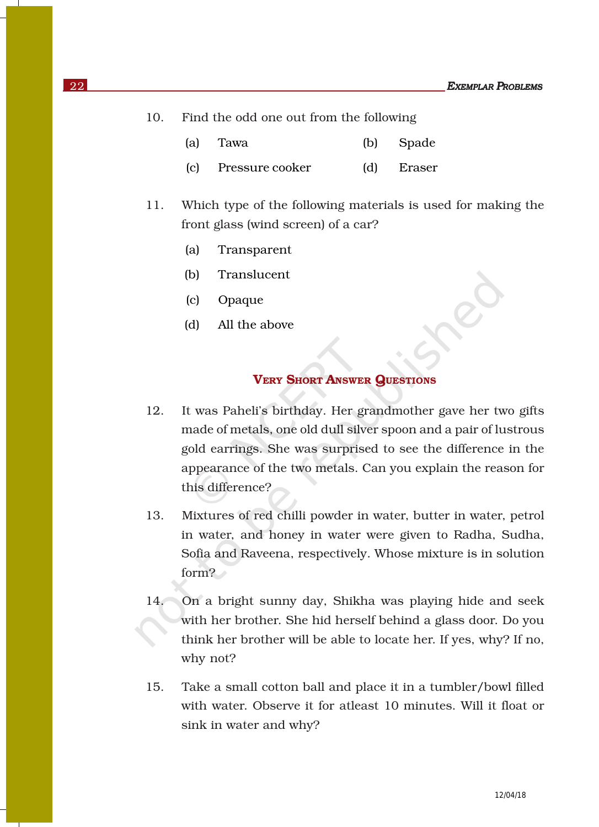- 10. Find the odd one out from the following
	- (a) Tawa (b) Spade
	- (c) Pressure cooker (d) Eraser
- 11. Which type of the following materials is used for making the front glass (wind screen) of a car?
	- (a) Transparent
	- (b) Translucent
	- (c) Opaque
	- (d) All the above

# VERY SHORT ANSWER QUESTIONS

- 12. It was Paheli's birthday. Her grandmother gave her two gifts made of metals, one old dull silver spoon and a pair of lustrous gold earrings. She was surprised to see the difference in the appearance of the two metals. Can you explain the reason for this difference?
- 13. Mixtures of red chilli powder in water, butter in water, petrol in water, and honey in water were given to Radha, Sudha, Sofia and Raveena, respectively. Whose mixture is in solution form?
- 14. On a bright sunny day, Shikha was playing hide and seek with her brother. She hid herself behind a glass door. Do you think her brother will be able to locate her. If yes, why? If no, why not?
- 15. Take a small cotton ball and place it in a tumbler/bowl filled with water. Observe it for atleast 10 minutes. Will it float or sink in water and why?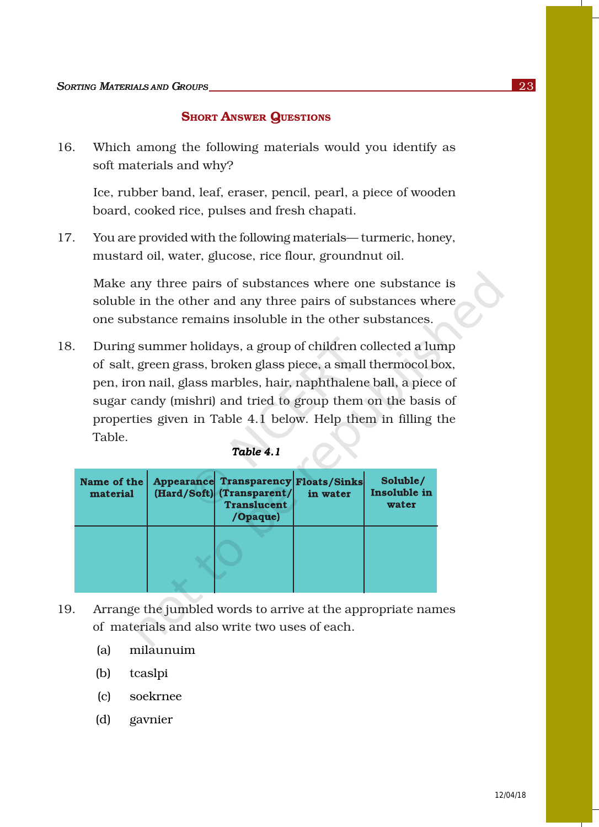#### **SHORT ANSWER QUESTIONS**

16. Which among the following materials would you identify as soft materials and why?

Ice, rubber band, leaf, eraser, pencil, pearl, a piece of wooden board, cooked rice, pulses and fresh chapati.

17. You are provided with the following materials— turmeric, honey, mustard oil, water, glucose, rice flour, groundnut oil.

Make any three pairs of substances where one substance is soluble in the other and any three pairs of substances where one substance remains insoluble in the other substances.

18. During summer holidays, a group of children collected a lump of salt, green grass, broken glass piece, a small thermocol box, pen, iron nail, glass marbles, hair, naphthalene ball, a piece of sugar candy (mishri) and tried to group them on the basis of properties given in Table 4.1 below. Help them in filling the Table.

| Name of the<br>material | <b>Appearance Transparency Floats/Sinks</b><br>(Hard/Soft) (Transparent/<br><b>Translucent</b><br>/Opaque) | in water | Soluble/<br>Insoluble in<br>water |
|-------------------------|------------------------------------------------------------------------------------------------------------|----------|-----------------------------------|
|                         |                                                                                                            |          |                                   |

# $Table 4.1$

- 19. Arrange the jumbled words to arrive at the appropriate names of materials and also write two uses of each.
	- (a) milaunuim
	- (b) tcaslpi
	- (c) soekrnee
	- (d) gavnier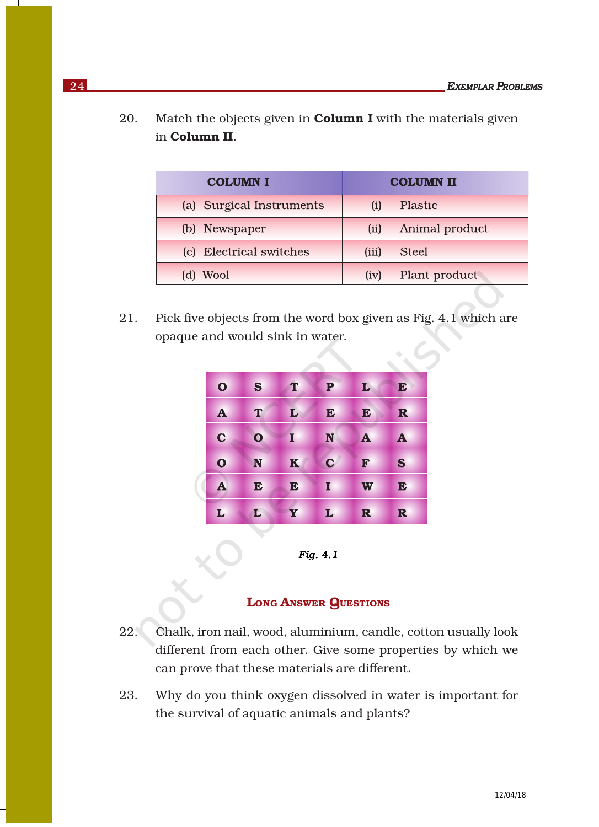20. Match the objects given in **Column I** with the materials given in Column II.

| <b>COLUMN I</b>          | <b>COLUMN II</b>       |  |  |
|--------------------------|------------------------|--|--|
| (a) Surgical Instruments | Plastic                |  |  |
| (b) Newspaper            | Animal product<br>(ii) |  |  |
| (c) Electrical switches  | (iii)<br><b>Steel</b>  |  |  |
| Wool                     | Plant product<br>(iv)  |  |  |

21. Pick five objects from the word box given as Fig. 4.1 which are opaque and would sink in water.

| $\mathbf O$  | S            | T           | ${\bf P}$   | L            | E            |
|--------------|--------------|-------------|-------------|--------------|--------------|
| $\mathbf{A}$ | T            | L           | E           | E            | $\mathbf R$  |
| $\mathbf C$  | $\mathbf{o}$ | Ι           | N           | $\mathbf{A}$ | $\mathbf{A}$ |
| $\mathbf O$  | N            | $\mathbf K$ | $\mathbf C$ | F            | S            |
| $\mathbf{A}$ | E            | E           | I           | W            | E            |
| L            | L            | Y           | L           | $\mathbf R$  | $\mathbf R$  |



# LONG ANSWER QUESTIONS

- 22. Chalk, iron nail, wood, aluminium, candle, cotton usually look different from each other. Give some properties by which we can prove that these materials are different.
- 23. Why do you think oxygen dissolved in water is important for the survival of aquatic animals and plants?